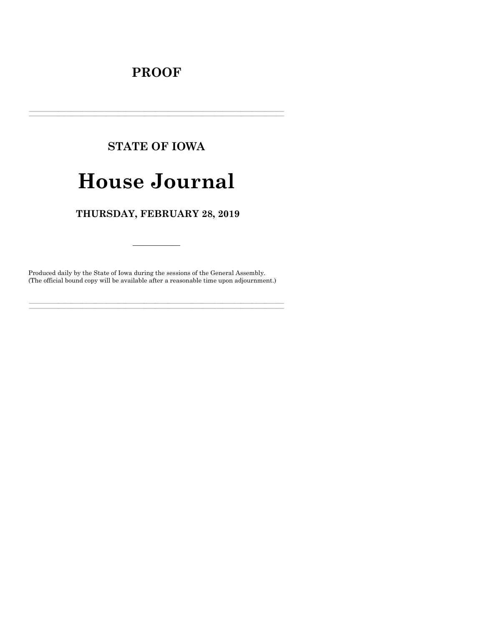## **PROOF**

# **STATE OF IOWA**

# **House Journal**

### THURSDAY, FEBRUARY 28, 2019

Produced daily by the State of Iowa during the sessions of the General Assembly. (The official bound copy will be available after a reasonable time upon adjournment.)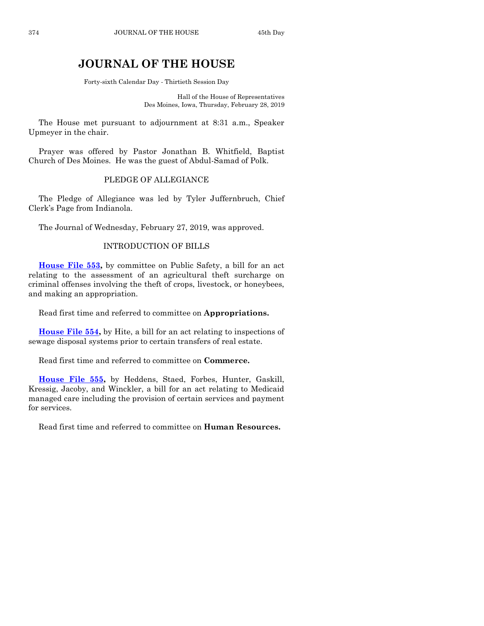## **JOURNAL OF THE HOUSE**

Forty-sixth Calendar Day - Thirtieth Session Day

Hall of the House of Representatives Des Moines, Iowa, Thursday, February 28, 2019

The House met pursuant to adjournment at 8:31 a.m., Speaker Upmeyer in the chair.

Prayer was offered by Pastor Jonathan B. Whitfield, Baptist Church of Des Moines. He was the guest of Abdul-Samad of Polk.

#### PLEDGE OF ALLEGIANCE

The Pledge of Allegiance was led by Tyler Juffernbruch, Chief Clerk's Page from Indianola.

The Journal of Wednesday, February 27, 2019, was approved.

#### INTRODUCTION OF BILLS

**[House File 553,](https://www.legis.iowa.gov/legislation/BillBook?ga=88&ba=HF553)** by committee on Public Safety, a bill for an act relating to the assessment of an agricultural theft surcharge on criminal offenses involving the theft of crops, livestock, or honeybees, and making an appropriation.

Read first time and referred to committee on **Appropriations.**

**[House File 554,](https://www.legis.iowa.gov/legislation/BillBook?ga=88&ba=HF554)** by Hite, a bill for an act relating to inspections of sewage disposal systems prior to certain transfers of real estate.

Read first time and referred to committee on **Commerce.**

**[House File 555,](https://www.legis.iowa.gov/legislation/BillBook?ga=88&ba=HF555)** by Heddens, Staed, Forbes, Hunter, Gaskill, Kressig, Jacoby, and Winckler, a bill for an act relating to Medicaid managed care including the provision of certain services and payment for services.

Read first time and referred to committee on **Human Resources.**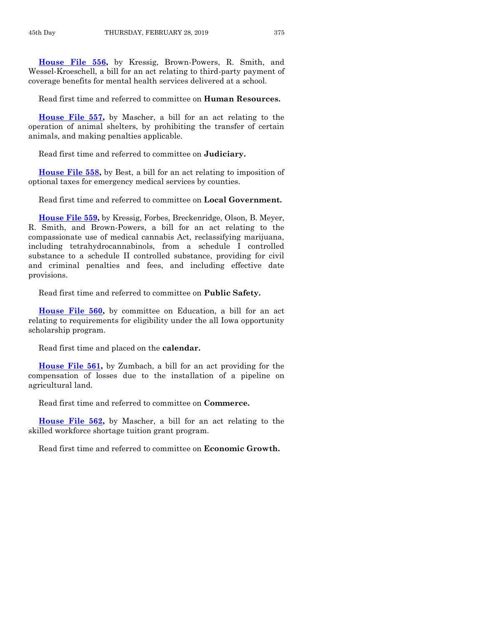**[House File 556,](https://www.legis.iowa.gov/legislation/BillBook?ga=88&ba=HF556)** by Kressig, Brown-Powers, R. Smith, and Wessel-Kroeschell, a bill for an act relating to third-party payment of coverage benefits for mental health services delivered at a school.

Read first time and referred to committee on **Human Resources.**

**[House File 557,](https://www.legis.iowa.gov/legislation/BillBook?ga=88&ba=HF557)** by Mascher, a bill for an act relating to the operation of animal shelters, by prohibiting the transfer of certain animals, and making penalties applicable.

Read first time and referred to committee on **Judiciary.**

**[House File 558,](https://www.legis.iowa.gov/legislation/BillBook?ga=88&ba=HF558)** by Best, a bill for an act relating to imposition of optional taxes for emergency medical services by counties.

Read first time and referred to committee on **Local Government.**

**[House File 559,](https://www.legis.iowa.gov/legislation/BillBook?ga=88&ba=HF559)** by Kressig, Forbes, Breckenridge, Olson, B. Meyer, R. Smith, and Brown-Powers, a bill for an act relating to the compassionate use of medical cannabis Act, reclassifying marijuana, including tetrahydrocannabinols, from a schedule I controlled substance to a schedule II controlled substance, providing for civil and criminal penalties and fees, and including effective date provisions.

Read first time and referred to committee on **Public Safety.**

**[House File 560,](https://www.legis.iowa.gov/legislation/BillBook?ga=88&ba=HF560)** by committee on Education, a bill for an act relating to requirements for eligibility under the all Iowa opportunity scholarship program.

Read first time and placed on the **calendar.**

**[House File 561,](https://www.legis.iowa.gov/legislation/BillBook?ga=88&ba=HF561)** by Zumbach, a bill for an act providing for the compensation of losses due to the installation of a pipeline on agricultural land.

Read first time and referred to committee on **Commerce.**

**[House File 562,](https://www.legis.iowa.gov/legislation/BillBook?ga=88&ba=HF562)** by Mascher, a bill for an act relating to the skilled workforce shortage tuition grant program.

Read first time and referred to committee on **Economic Growth.**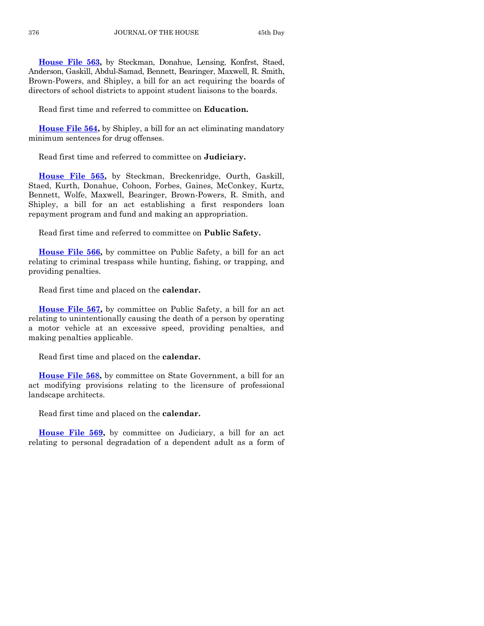**[House File 563,](https://www.legis.iowa.gov/legislation/BillBook?ga=88&ba=HF563)** by Steckman, Donahue, Lensing, Konfrst, Staed, Anderson, Gaskill, Abdul-Samad, Bennett, Bearinger, Maxwell, R. Smith, Brown-Powers, and Shipley, a bill for an act requiring the boards of directors of school districts to appoint student liaisons to the boards.

Read first time and referred to committee on **Education.**

**[House File 564,](https://www.legis.iowa.gov/legislation/BillBook?ga=88&ba=HF564)** by Shipley, a bill for an act eliminating mandatory minimum sentences for drug offenses.

Read first time and referred to committee on **Judiciary.**

**[House File 565,](https://www.legis.iowa.gov/legislation/BillBook?ga=88&ba=HF565)** by Steckman, Breckenridge, Ourth, Gaskill, Staed, Kurth, Donahue, Cohoon, Forbes, Gaines, McConkey, Kurtz, Bennett, Wolfe, Maxwell, Bearinger, Brown-Powers, R. Smith, and Shipley, a bill for an act establishing a first responders loan repayment program and fund and making an appropriation.

Read first time and referred to committee on **Public Safety.**

**[House File 566,](https://www.legis.iowa.gov/legislation/BillBook?ga=88&ba=HF566)** by committee on Public Safety, a bill for an act relating to criminal trespass while hunting, fishing, or trapping, and providing penalties.

Read first time and placed on the **calendar.**

**[House File 567,](https://www.legis.iowa.gov/legislation/BillBook?ga=88&ba=HF567)** by committee on Public Safety, a bill for an act relating to unintentionally causing the death of a person by operating a motor vehicle at an excessive speed, providing penalties, and making penalties applicable.

Read first time and placed on the **calendar.**

**[House File 568,](https://www.legis.iowa.gov/legislation/BillBook?ga=88&ba=HF568)** by committee on State Government, a bill for an act modifying provisions relating to the licensure of professional landscape architects.

Read first time and placed on the **calendar.**

**[House File 569,](https://www.legis.iowa.gov/legislation/BillBook?ga=88&ba=HF569)** by committee on Judiciary, a bill for an act relating to personal degradation of a dependent adult as a form of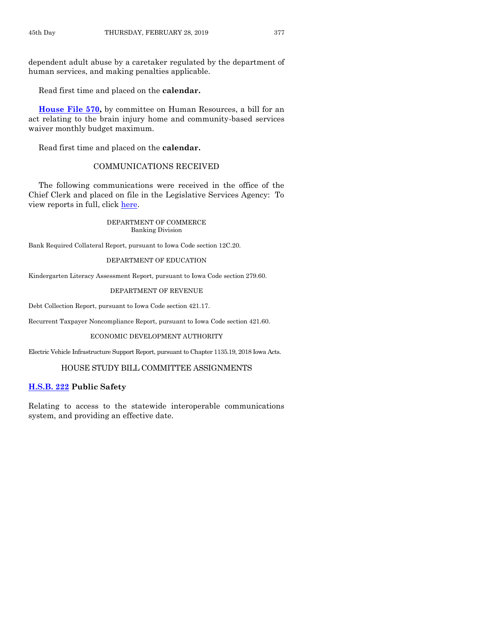dependent adult abuse by a caretaker regulated by the department of human services, and making penalties applicable.

Read first time and placed on the **calendar.**

**[House File 570,](https://www.legis.iowa.gov/legislation/BillBook?ga=88&ba=HF570)** by committee on Human Resources, a bill for an act relating to the brain injury home and community-based services waiver monthly budget maximum.

Read first time and placed on the **calendar.**

#### COMMUNICATIONS RECEIVED

The following communications were received in the office of the Chief Clerk and placed on file in the Legislative Services Agency: To view reports in full, click [here.](https://www.legis.iowa.gov/publications/otherResources/reportsFiled)

> DEPARTMENT OF COMMERCE Banking Division

Bank Required Collateral Report, pursuant to Iowa Code section 12C.20.

#### DEPARTMENT OF EDUCATION

Kindergarten Literacy Assessment Report, pursuant to Iowa Code section 279.60.

#### DEPARTMENT OF REVENUE

Debt Collection Report, pursuant to Iowa Code section 421.17.

Recurrent Taxpayer Noncompliance Report, pursuant to Iowa Code section 421.60.

#### ECONOMIC DEVELOPMENT AUTHORITY

Electric Vehicle Infrastructure Support Report, pursuant to Chapter 1135.19, 2018 Iowa Acts.

#### HOUSE STUDY BILL COMMITTEE ASSIGNMENTS

#### **[H.S.B. 222](https://www.legis.iowa.gov/legislation/BillBook?ga=88&ba=HSB222) Public Safety**

Relating to access to the statewide interoperable communications system, and providing an effective date.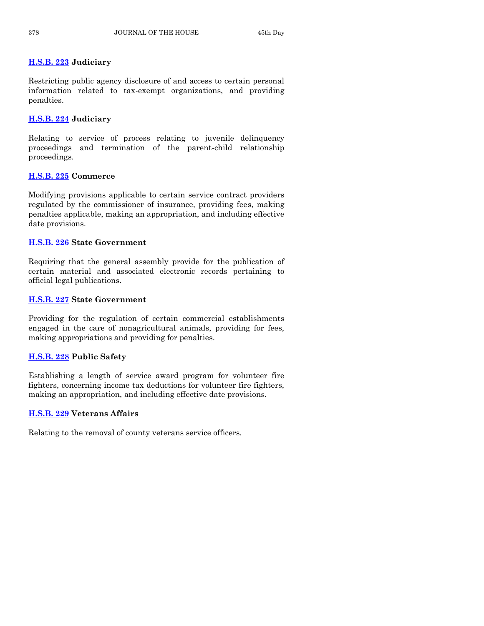#### **[H.S.B. 223](https://www.legis.iowa.gov/legislation/BillBook?ga=88&ba=HSB223) Judiciary**

Restricting public agency disclosure of and access to certain personal information related to tax-exempt organizations, and providing penalties.

#### **[H.S.B. 224](https://www.legis.iowa.gov/legislation/BillBook?ga=88&ba=HSB224) Judiciary**

Relating to service of process relating to juvenile delinquency proceedings and termination of the parent-child relationship proceedings.

#### **[H.S.B. 225](https://www.legis.iowa.gov/legislation/BillBook?ga=88&ba=HSB225) Commerce**

Modifying provisions applicable to certain service contract providers regulated by the commissioner of insurance, providing fees, making penalties applicable, making an appropriation, and including effective date provisions.

#### **[H.S.B. 226](https://www.legis.iowa.gov/legislation/BillBook?ga=88&ba=HSB226) State Government**

Requiring that the general assembly provide for the publication of certain material and associated electronic records pertaining to official legal publications.

#### **[H.S.B. 227](https://www.legis.iowa.gov/legislation/BillBook?ga=88&ba=HSB227) State Government**

Providing for the regulation of certain commercial establishments engaged in the care of nonagricultural animals, providing for fees, making appropriations and providing for penalties.

#### **[H.S.B. 228](https://www.legis.iowa.gov/legislation/BillBook?ga=88&ba=HSB228) Public Safety**

Establishing a length of service award program for volunteer fire fighters, concerning income tax deductions for volunteer fire fighters, making an appropriation, and including effective date provisions.

#### **[H.S.B. 229](https://www.legis.iowa.gov/legislation/BillBook?ga=88&ba=HSB229) Veterans Affairs**

Relating to the removal of county veterans service officers.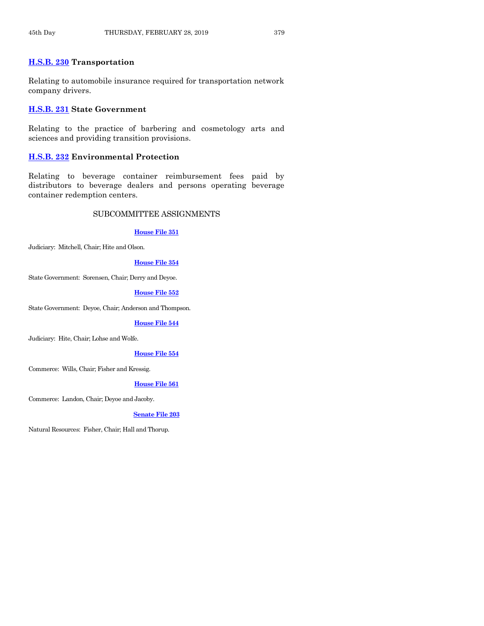#### **[H.S.B. 230](https://www.legis.iowa.gov/legislation/BillBook?ga=88&ba=HSB230) Transportation**

Relating to automobile insurance required for transportation network company drivers.

#### **[H.S.B. 231](https://www.legis.iowa.gov/legislation/BillBook?ga=88&ba=HSB231) State Government**

Relating to the practice of barbering and cosmetology arts and sciences and providing transition provisions.

#### **[H.S.B. 232](https://www.legis.iowa.gov/legislation/BillBook?ga=88&ba=HSB232) Environmental Protection**

Relating to beverage container reimbursement fees paid by distributors to beverage dealers and persons operating beverage container redemption centers.

#### SUBCOMMITTEE ASSIGNMENTS

#### **[House File 351](https://www.legis.iowa.gov/legislation/BillBook?ga=88&ba=HF351)**

Judiciary: Mitchell, Chair; Hite and Olson.

#### **[House File 354](https://www.legis.iowa.gov/legislation/BillBook?ga=88&ba=HF354)**

State Government: Sorensen, Chair; Derry and Deyoe.

#### **[House File 552](https://www.legis.iowa.gov/legislation/BillBook?ga=88&ba=HF552)**

State Government: Deyoe, Chair; Anderson and Thompson.

#### **[House File 544](https://www.legis.iowa.gov/legislation/BillBook?ga=88&ba=HF544)**

Judiciary: Hite, Chair; Lohse and Wolfe.

#### **[House File 554](https://www.legis.iowa.gov/legislation/BillBook?ga=88&ba=HF554)**

Commerce: Wills, Chair; Fisher and Kressig.

#### **[House File 561](https://www.legis.iowa.gov/legislation/BillBook?ga=88&ba=HF561)**

Commerce: Landon, Chair; Deyoe and Jacoby.

#### **[Senate File 203](https://www.legis.iowa.gov/legislation/BillBook?ga=88&ba=SF203)**

Natural Resources: Fisher, Chair; Hall and Thorup.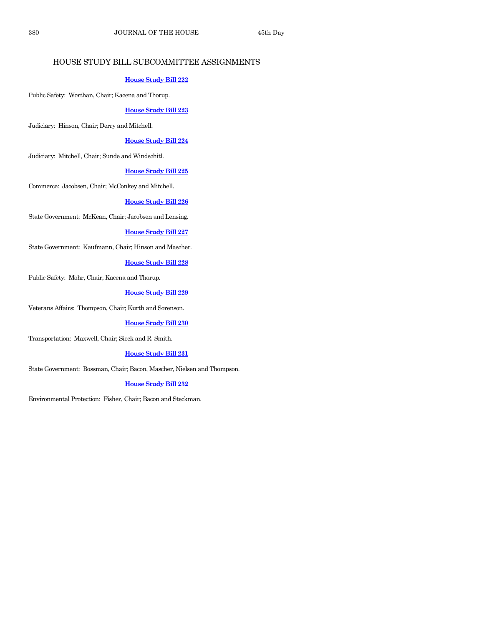#### HOUSE STUDY BILL SUBCOMMITTEE ASSIGNMENTS

#### **[House Study Bill 222](https://www.legis.iowa.gov/legislation/BillBook?ga=88&ba=HSB222)**

Public Safety: Worthan, Chair; Kacena and Thorup.

**[House Study Bill 223](https://www.legis.iowa.gov/legislation/BillBook?ga=88&ba=HSB223)**

Judiciary: Hinson, Chair; Derry and Mitchell.

**[House Study Bill 224](https://www.legis.iowa.gov/legislation/BillBook?ga=88&ba=HSB224)**

Judiciary: Mitchell, Chair; Sunde and Windschitl.

#### **[House Study Bill 225](https://www.legis.iowa.gov/legislation/BillBook?ga=88&ba=HSB225)**

Commerce: Jacobsen, Chair; McConkey and Mitchell.

#### **[House Study Bill 226](https://www.legis.iowa.gov/legislation/BillBook?ga=88&ba=HSB226)**

State Government: McKean, Chair; Jacobsen and Lensing.

#### **[House Study Bill 227](https://www.legis.iowa.gov/legislation/BillBook?ga=88&ba=HSB227)**

State Government: Kaufmann, Chair; Hinson and Mascher.

#### **[House Study Bill 228](https://www.legis.iowa.gov/legislation/BillBook?ga=88&ba=HSB228)**

Public Safety: Mohr, Chair; Kacena and Thorup.

#### **[House Study Bill 229](https://www.legis.iowa.gov/legislation/BillBook?ga=88&ba=HSB229)**

Veterans Affairs: Thompson, Chair; Kurth and Sorenson.

#### **[House Study Bill 230](https://www.legis.iowa.gov/legislation/BillBook?ga=88&ba=HSB230)**

Transportation: Maxwell, Chair; Sieck and R. Smith.

**[House Study Bill 231](https://www.legis.iowa.gov/legislation/BillBook?ga=88&ba=HSB231)**

State Government: Bossman, Chair; Bacon, Mascher, Nielsen and Thompson.

#### **[House Study Bill 232](https://www.legis.iowa.gov/legislation/BillBook?ga=88&ba=HSB232)**

Environmental Protection: Fisher, Chair; Bacon and Steckman.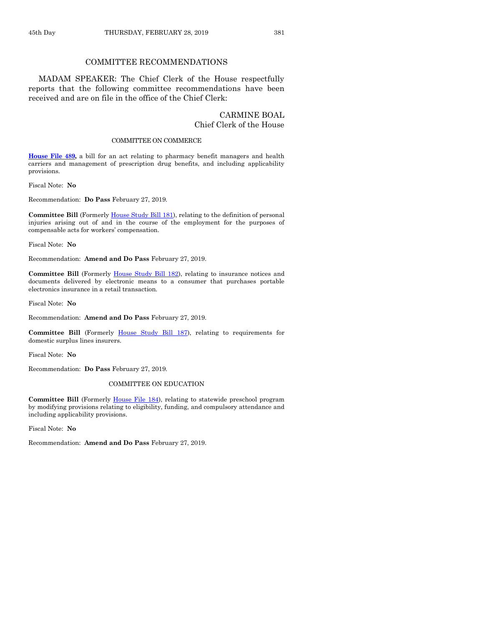#### COMMITTEE RECOMMENDATIONS

MADAM SPEAKER: The Chief Clerk of the House respectfully reports that the following committee recommendations have been received and are on file in the office of the Chief Clerk:

#### CARMINE BOAL Chief Clerk of the House

#### COMMITTEE ON COMMERCE

**[House File 489,](https://www.legis.iowa.gov/legislation/BillBook?ga=88&ba=HF489)** a bill for an act relating to pharmacy benefit managers and health carriers and management of prescription drug benefits, and including applicability provisions.

Fiscal Note: **No**

Recommendation: **Do Pass** February 27, 2019.

**Committee Bill** (Formerl[y House Study](https://www.legis.iowa.gov/legislation/BillBook?ga=88&ba=HSB181) Bill 181), relating to the definition of personal injuries arising out of and in the course of the employment for the purposes of compensable acts for workers' compensation.

Fiscal Note: **No**

Recommendation: **Amend and Do Pass** February 27, 2019.

**Committee Bill** (Formerly [House Study Bill 182\)](https://www.legis.iowa.gov/legislation/BillBook?ga=88&ba=HSB182), relating to insurance notices and documents delivered by electronic means to a consumer that purchases portable electronics insurance in a retail transaction.

Fiscal Note: **No**

Recommendation: **Amend and Do Pass** February 27, 2019.

**Committee Bill** (Formerly [House Study Bill 187\),](https://www.legis.iowa.gov/legislation/BillBook?ga=88&ba=HSB187) relating to requirements for domestic surplus lines insurers.

Fiscal Note: **No**

Recommendation: **Do Pass** February 27, 2019.

#### COMMITTEE ON EDUCATION

**Committee Bill** (Formerly [House File 184\)](https://www.legis.iowa.gov/legislation/BillBook?ga=88&ba=HF184), relating to statewide preschool program by modifying provisions relating to eligibility, funding, and compulsory attendance and including applicability provisions.

Fiscal Note: **No**

Recommendation: **Amend and Do Pass** February 27, 2019.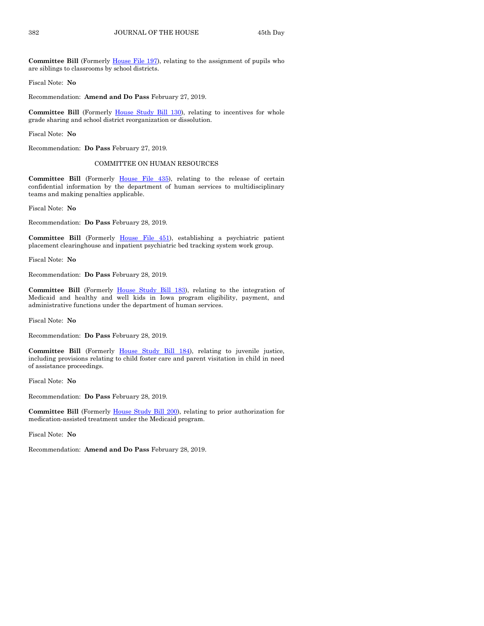**Committee Bill** (Formerly [House File 197\)](https://www.legis.iowa.gov/legislation/BillBook?ga=88&ba=HF197), relating to the assignment of pupils who are siblings to classrooms by school districts.

Fiscal Note: **No**

Recommendation: **Amend and Do Pass** February 27, 2019.

**Committee Bill** (Formerly [House Study Bill 130\)](https://www.legis.iowa.gov/legislation/BillBook?ga=88&ba=HSB130), relating to incentives for whole grade sharing and school district reorganization or dissolution.

Fiscal Note: **No**

Recommendation: **Do Pass** February 27, 2019.

#### COMMITTEE ON HUMAN RESOURCES

**Committee Bill** (Formerly [House File 435\)](https://www.legis.iowa.gov/legislation/BillBook?ga=88&ba=HF435), relating to the release of certain confidential information by the department of human services to multidisciplinary teams and making penalties applicable.

Fiscal Note: **No**

Recommendation: **Do Pass** February 28, 2019.

**Committee Bill** (Formerly [House File 451\)](https://www.legis.iowa.gov/legislation/BillBook?ga=88&ba=HF451), establishing a psychiatric patient placement clearinghouse and inpatient psychiatric bed tracking system work group.

Fiscal Note: **No**

Recommendation: **Do Pass** February 28, 2019.

**Committee Bill** (Formerly [House Study Bill 183\)](https://www.legis.iowa.gov/legislation/BillBook?ga=88&ba=HSB183), relating to the integration of Medicaid and healthy and well kids in Iowa program eligibility, payment, and administrative functions under the department of human services.

Fiscal Note: **No**

Recommendation: **Do Pass** February 28, 2019.

**Committee Bill** (Formerly [House Study Bill 184\)](https://www.legis.iowa.gov/legislation/BillBook?ga=88&ba=HSB184), relating to juvenile justice, including provisions relating to child foster care and parent visitation in child in need of assistance proceedings.

Fiscal Note: **No**

Recommendation: **Do Pass** February 28, 2019.

**Committee Bill** (Formerly [House Study Bill 200\)](https://www.legis.iowa.gov/legislation/BillBook?ga=88&ba=HSB200), relating to prior authorization for medication-assisted treatment under the Medicaid program.

Fiscal Note: **No**

Recommendation: **Amend and Do Pass** February 28, 2019.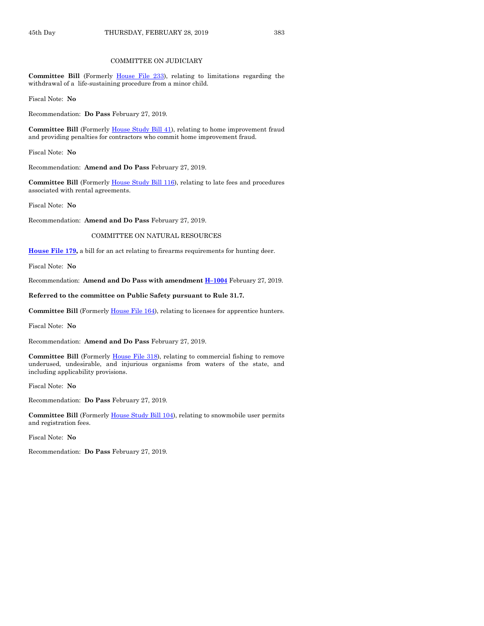#### COMMITTEE ON JUDICIARY

**Committee Bill** (Formerly [House File 233\)](https://www.legis.iowa.gov/legislation/BillBook?ga=88&ba=HF233), relating to limitations regarding the withdrawal of a life-sustaining procedure from a minor child.

Fiscal Note: **No**

Recommendation: **Do Pass** February 27, 2019.

**Committee Bill** (Formerly [House Study Bill 41\)](https://www.legis.iowa.gov/legislation/BillBook?ga=88&ba=HSB41), relating to home improvement fraud and providing penalties for contractors who commit home improvement fraud.

Fiscal Note: **No**

Recommendation: **Amend and Do Pass** February 27, 2019.

**Committee Bill** (Formerly [House Study Bill 116\)](https://www.legis.iowa.gov/legislation/BillBook?ga=88&ba=HSB116), relating to late fees and procedures associated with rental agreements.

Fiscal Note: **No**

Recommendation: **Amend and Do Pass** February 27, 2019.

COMMITTEE ON NATURAL RESOURCES

**[House File 179,](https://www.legis.iowa.gov/legislation/BillBook?ga=88&ba=HF179)** a bill for an act relating to firearms requirements for hunting deer.

Fiscal Note: **No**

Recommendation: **Amend and Do Pass with amendment H–[1004](https://www.legis.iowa.gov/legislation/BillBook?ga=88&ba=H1004)** February 27, 2019.

#### **Referred to the committee on Public Safety pursuant to Rule 31.7.**

**Committee Bill** (Formerly [House File 164\)](https://www.legis.iowa.gov/legislation/BillBook?ga=88&ba=HF164), relating to licenses for apprentice hunters.

Fiscal Note: **No**

Recommendation: **Amend and Do Pass** February 27, 2019.

**Committee Bill** (Formerly [House File 318\)](https://www.legis.iowa.gov/legislation/BillBook?ga=88&ba=HF318), relating to commercial fishing to remove underused, undesirable, and injurious organisms from waters of the state, and including applicability provisions.

Fiscal Note: **No**

Recommendation: **Do Pass** February 27, 2019.

**Committee Bill** (Formerl[y House Study Bill 104\)](https://www.legis.iowa.gov/legislation/BillBook?ga=88&ba=HSB104), relating to snowmobile user permits and registration fees.

Fiscal Note: **No**

Recommendation: **Do Pass** February 27, 2019.